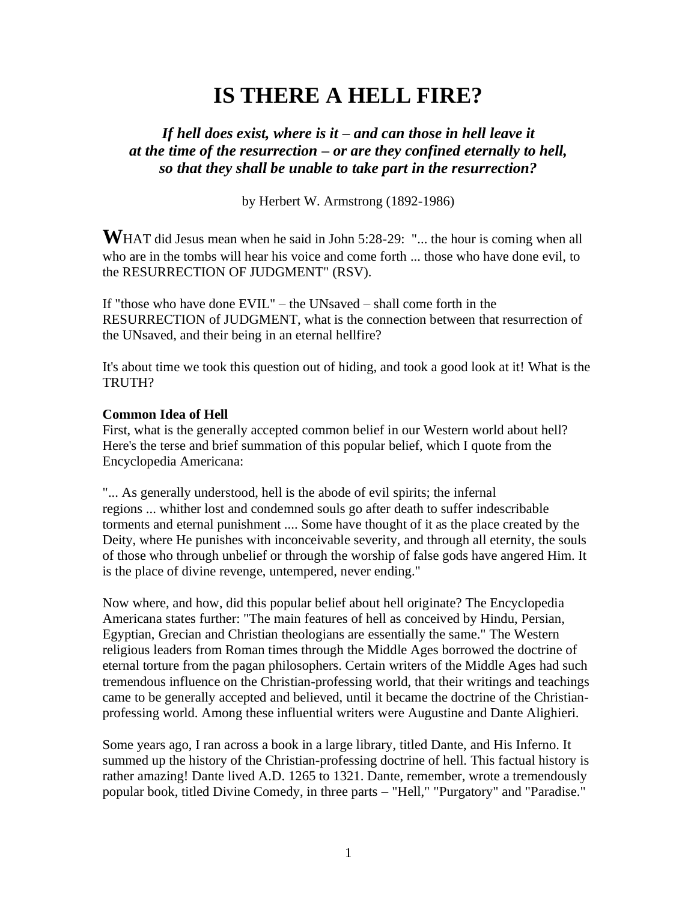# **IS THERE A HELL FIRE?**

# *If hell does exist, where is it – and can those in hell leave it at the time of the resurrection – or are they confined eternally to hell, so that they shall be unable to take part in the resurrection?*

by Herbert W. Armstrong (1892-1986)

WHAT did Jesus mean when he said in John 5:28-29: "... the hour is coming when all who are in the tombs will hear his voice and come forth ... those who have done evil, to the RESURRECTION OF JUDGMENT" (RSV).

If "those who have done EVIL" – the UNsaved – shall come forth in the RESURRECTION of JUDGMENT, what is the connection between that resurrection of the UNsaved, and their being in an eternal hellfire?

It's about time we took this question out of hiding, and took a good look at it! What is the TRUTH?

#### **Common Idea of Hell**

First, what is the generally accepted common belief in our Western world about hell? Here's the terse and brief summation of this popular belief, which I quote from the Encyclopedia Americana:

"... As generally understood, hell is the abode of evil spirits; the infernal regions ... whither lost and condemned souls go after death to suffer indescribable torments and eternal punishment .... Some have thought of it as the place created by the Deity, where He punishes with inconceivable severity, and through all eternity, the souls of those who through unbelief or through the worship of false gods have angered Him. It is the place of divine revenge, untempered, never ending."

Now where, and how, did this popular belief about hell originate? The Encyclopedia Americana states further: "The main features of hell as conceived by Hindu, Persian, Egyptian, Grecian and Christian theologians are essentially the same." The Western religious leaders from Roman times through the Middle Ages borrowed the doctrine of eternal torture from the pagan philosophers. Certain writers of the Middle Ages had such tremendous influence on the Christian-professing world, that their writings and teachings came to be generally accepted and believed, until it became the doctrine of the Christianprofessing world. Among these influential writers were Augustine and Dante Alighieri.

Some years ago, I ran across a book in a large library, titled Dante, and His Inferno. It summed up the history of the Christian-professing doctrine of hell. This factual history is rather amazing! Dante lived A.D. 1265 to 1321. Dante, remember, wrote a tremendously popular book, titled Divine Comedy, in three parts – "Hell," "Purgatory" and "Paradise."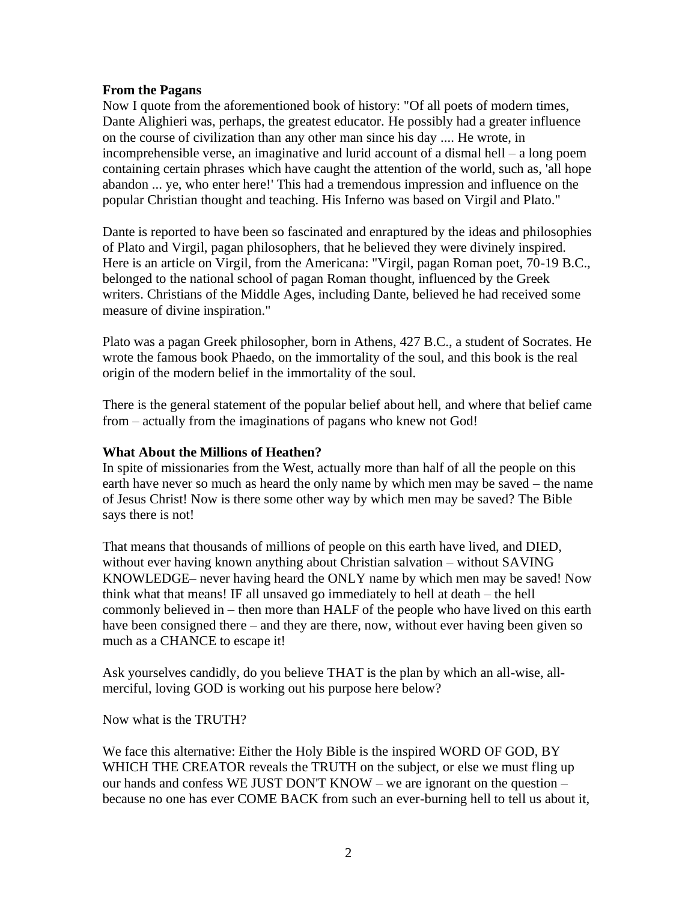#### **From the Pagans**

Now I quote from the aforementioned book of history: "Of all poets of modern times, Dante Alighieri was, perhaps, the greatest educator. He possibly had a greater influence on the course of civilization than any other man since his day .... He wrote, in incomprehensible verse, an imaginative and lurid account of a dismal hell – a long poem containing certain phrases which have caught the attention of the world, such as, 'all hope abandon ... ye, who enter here!' This had a tremendous impression and influence on the popular Christian thought and teaching. His Inferno was based on Virgil and Plato."

Dante is reported to have been so fascinated and enraptured by the ideas and philosophies of Plato and Virgil, pagan philosophers, that he believed they were divinely inspired. Here is an article on Virgil, from the Americana: "Virgil, pagan Roman poet, 70-19 B.C., belonged to the national school of pagan Roman thought, influenced by the Greek writers. Christians of the Middle Ages, including Dante, believed he had received some measure of divine inspiration."

Plato was a pagan Greek philosopher, born in Athens, 427 B.C., a student of Socrates. He wrote the famous book Phaedo, on the immortality of the soul, and this book is the real origin of the modern belief in the immortality of the soul.

There is the general statement of the popular belief about hell, and where that belief came from – actually from the imaginations of pagans who knew not God!

## **What About the Millions of Heathen?**

In spite of missionaries from the West, actually more than half of all the people on this earth have never so much as heard the only name by which men may be saved – the name of Jesus Christ! Now is there some other way by which men may be saved? The Bible says there is not!

That means that thousands of millions of people on this earth have lived, and DIED, without ever having known anything about Christian salvation – without SAVING KNOWLEDGE– never having heard the ONLY name by which men may be saved! Now think what that means! IF all unsaved go immediately to hell at death – the hell commonly believed in – then more than HALF of the people who have lived on this earth have been consigned there – and they are there, now, without ever having been given so much as a CHANCE to escape it!

Ask yourselves candidly, do you believe THAT is the plan by which an all-wise, allmerciful, loving GOD is working out his purpose here below?

Now what is the TRUTH?

We face this alternative: Either the Holy Bible is the inspired WORD OF GOD, BY WHICH THE CREATOR reveals the TRUTH on the subject, or else we must fling up our hands and confess WE JUST DON'T KNOW – we are ignorant on the question – because no one has ever COME BACK from such an ever-burning hell to tell us about it,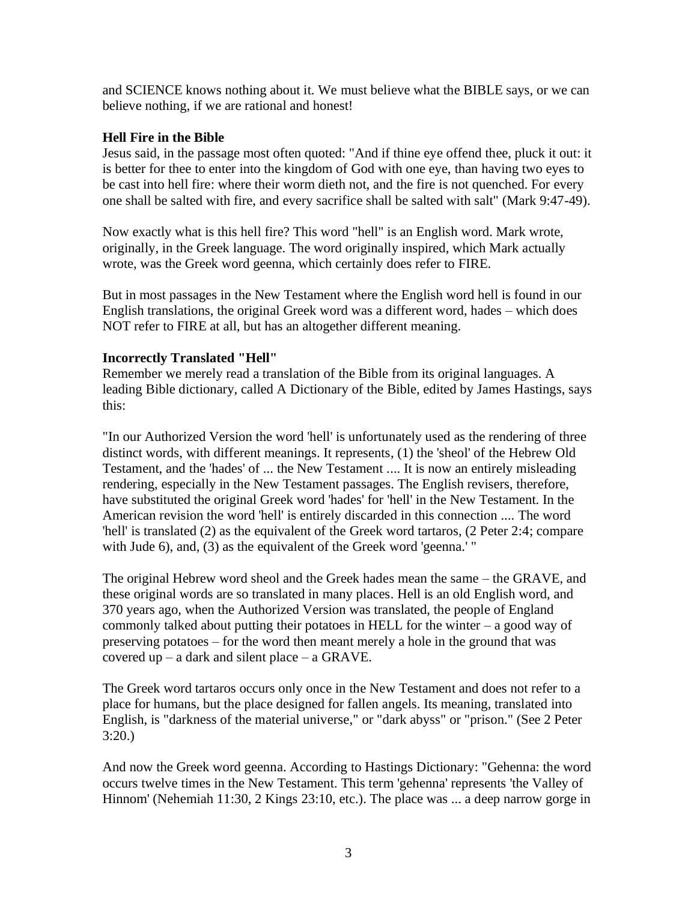and SCIENCE knows nothing about it. We must believe what the BIBLE says, or we can believe nothing, if we are rational and honest!

# **Hell Fire in the Bible**

Jesus said, in the passage most often quoted: "And if thine eye offend thee, pluck it out: it is better for thee to enter into the kingdom of God with one eye, than having two eyes to be cast into hell fire: where their worm dieth not, and the fire is not quenched. For every one shall be salted with fire, and every sacrifice shall be salted with salt" (Mark 9:47-49).

Now exactly what is this hell fire? This word "hell" is an English word. Mark wrote, originally, in the Greek language. The word originally inspired, which Mark actually wrote, was the Greek word geenna, which certainly does refer to FIRE.

But in most passages in the New Testament where the English word hell is found in our English translations, the original Greek word was a different word, hades – which does NOT refer to FIRE at all, but has an altogether different meaning.

# **Incorrectly Translated "Hell"**

Remember we merely read a translation of the Bible from its original languages. A leading Bible dictionary, called A Dictionary of the Bible, edited by James Hastings, says this:

"In our Authorized Version the word 'hell' is unfortunately used as the rendering of three distinct words, with different meanings. It represents, (1) the 'sheol' of the Hebrew Old Testament, and the 'hades' of ... the New Testament .... It is now an entirely misleading rendering, especially in the New Testament passages. The English revisers, therefore, have substituted the original Greek word 'hades' for 'hell' in the New Testament. In the American revision the word 'hell' is entirely discarded in this connection .... The word 'hell' is translated (2) as the equivalent of the Greek word tartaros, (2 Peter 2:4; compare with Jude 6), and, (3) as the equivalent of the Greek word 'geenna.' "

The original Hebrew word sheol and the Greek hades mean the same – the GRAVE, and these original words are so translated in many places. Hell is an old English word, and 370 years ago, when the Authorized Version was translated, the people of England commonly talked about putting their potatoes in HELL for the winter – a good way of preserving potatoes – for the word then meant merely a hole in the ground that was covered up – a dark and silent place – a GRAVE.

The Greek word tartaros occurs only once in the New Testament and does not refer to a place for humans, but the place designed for fallen angels. Its meaning, translated into English, is "darkness of the material universe," or "dark abyss" or "prison." (See 2 Peter 3:20.)

And now the Greek word geenna. According to Hastings Dictionary: "Gehenna: the word occurs twelve times in the New Testament. This term 'gehenna' represents 'the Valley of Hinnom' (Nehemiah 11:30, 2 Kings 23:10, etc.). The place was ... a deep narrow gorge in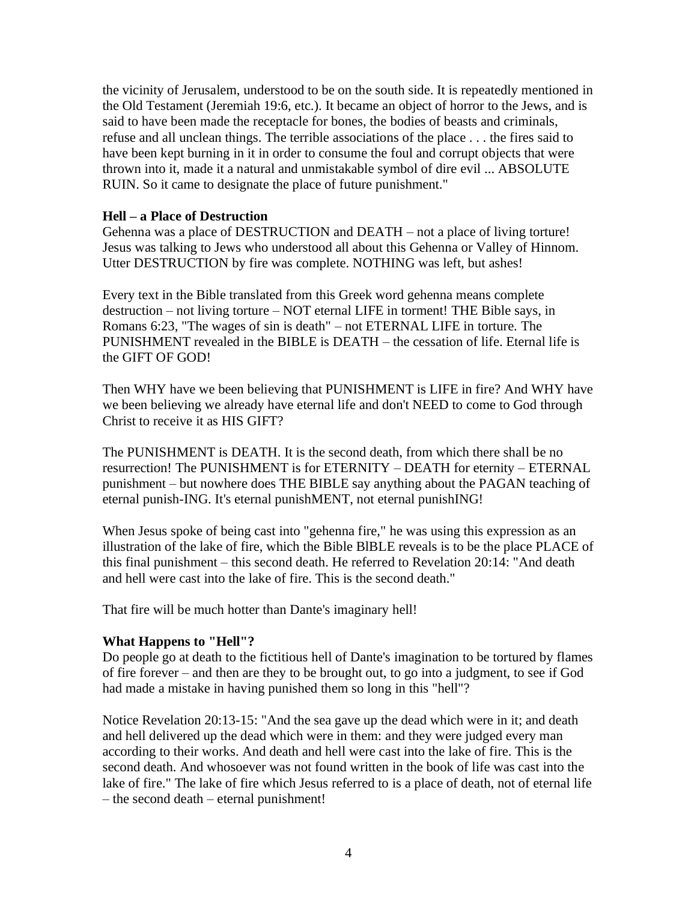the vicinity of Jerusalem, understood to be on the south side. It is repeatedly mentioned in the Old Testament (Jeremiah 19:6, etc.). It became an object of horror to the Jews, and is said to have been made the receptacle for bones, the bodies of beasts and criminals, refuse and all unclean things. The terrible associations of the place . . . the fires said to have been kept burning in it in order to consume the foul and corrupt objects that were thrown into it, made it a natural and unmistakable symbol of dire evil ... ABSOLUTE RUIN. So it came to designate the place of future punishment."

## **Hell – a Place of Destruction**

Gehenna was a place of DESTRUCTION and DEATH – not a place of living torture! Jesus was talking to Jews who understood all about this Gehenna or Valley of Hinnom. Utter DESTRUCTION by fire was complete. NOTHING was left, but ashes!

Every text in the Bible translated from this Greek word gehenna means complete destruction – not living torture – NOT eternal LIFE in torment! THE Bible says, in Romans 6:23, "The wages of sin is death" – not ETERNAL LIFE in torture. The PUNISHMENT revealed in the BIBLE is DEATH – the cessation of life. Eternal life is the GIFT OF GOD!

Then WHY have we been believing that PUNISHMENT is LIFE in fire? And WHY have we been believing we already have eternal life and don't NEED to come to God through Christ to receive it as HIS GIFT?

The PUNISHMENT is DEATH. It is the second death, from which there shall be no resurrection! The PUNISHMENT is for ETERNITY – DEATH for eternity – ETERNAL punishment – but nowhere does THE BIBLE say anything about the PAGAN teaching of eternal punish-ING. It's eternal punishMENT, not eternal punishING!

When Jesus spoke of being cast into "gehenna fire," he was using this expression as an illustration of the lake of fire, which the Bible BlBLE reveals is to be the place PLACE of this final punishment – this second death. He referred to Revelation 20:14: "And death and hell were cast into the lake of fire. This is the second death."

That fire will be much hotter than Dante's imaginary hell!

## **What Happens to "Hell"?**

Do people go at death to the fictitious hell of Dante's imagination to be tortured by flames of fire forever – and then are they to be brought out, to go into a judgment, to see if God had made a mistake in having punished them so long in this "hell"?

Notice Revelation 20:13-15: "And the sea gave up the dead which were in it; and death and hell delivered up the dead which were in them: and they were judged every man according to their works. And death and hell were cast into the lake of fire. This is the second death. And whosoever was not found written in the book of life was cast into the lake of fire." The lake of fire which Jesus referred to is a place of death, not of eternal life – the second death – eternal punishment!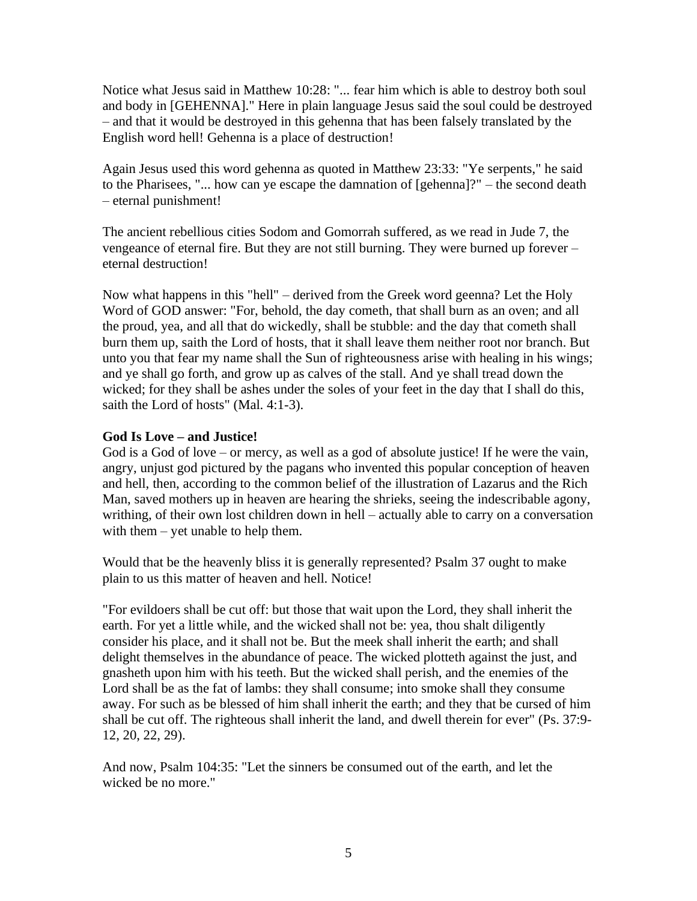Notice what Jesus said in Matthew 10:28: "... fear him which is able to destroy both soul and body in [GEHENNA]." Here in plain language Jesus said the soul could be destroyed – and that it would be destroyed in this gehenna that has been falsely translated by the English word hell! Gehenna is a place of destruction!

Again Jesus used this word gehenna as quoted in Matthew 23:33: "Ye serpents," he said to the Pharisees, "... how can ye escape the damnation of [gehenna]?" – the second death – eternal punishment!

The ancient rebellious cities Sodom and Gomorrah suffered, as we read in Jude 7, the vengeance of eternal fire. But they are not still burning. They were burned up forever – eternal destruction!

Now what happens in this "hell" – derived from the Greek word geenna? Let the Holy Word of GOD answer: "For, behold, the day cometh, that shall burn as an oven; and all the proud, yea, and all that do wickedly, shall be stubble: and the day that cometh shall burn them up, saith the Lord of hosts, that it shall leave them neither root nor branch. But unto you that fear my name shall the Sun of righteousness arise with healing in his wings; and ye shall go forth, and grow up as calves of the stall. And ye shall tread down the wicked; for they shall be ashes under the soles of your feet in the day that I shall do this, saith the Lord of hosts" (Mal. 4:1-3).

# **God Is Love – and Justice!**

God is a God of love – or mercy, as well as a god of absolute justice! If he were the vain, angry, unjust god pictured by the pagans who invented this popular conception of heaven and hell, then, according to the common belief of the illustration of Lazarus and the Rich Man, saved mothers up in heaven are hearing the shrieks, seeing the indescribable agony, writhing, of their own lost children down in hell – actually able to carry on a conversation with them – yet unable to help them.

Would that be the heavenly bliss it is generally represented? Psalm 37 ought to make plain to us this matter of heaven and hell. Notice!

"For evildoers shall be cut off: but those that wait upon the Lord, they shall inherit the earth. For yet a little while, and the wicked shall not be: yea, thou shalt diligently consider his place, and it shall not be. But the meek shall inherit the earth; and shall delight themselves in the abundance of peace. The wicked plotteth against the just, and gnasheth upon him with his teeth. But the wicked shall perish, and the enemies of the Lord shall be as the fat of lambs: they shall consume; into smoke shall they consume away. For such as be blessed of him shall inherit the earth; and they that be cursed of him shall be cut off. The righteous shall inherit the land, and dwell therein for ever" (Ps. 37:9- 12, 20, 22, 29).

And now, Psalm 104:35: "Let the sinners be consumed out of the earth, and let the wicked be no more."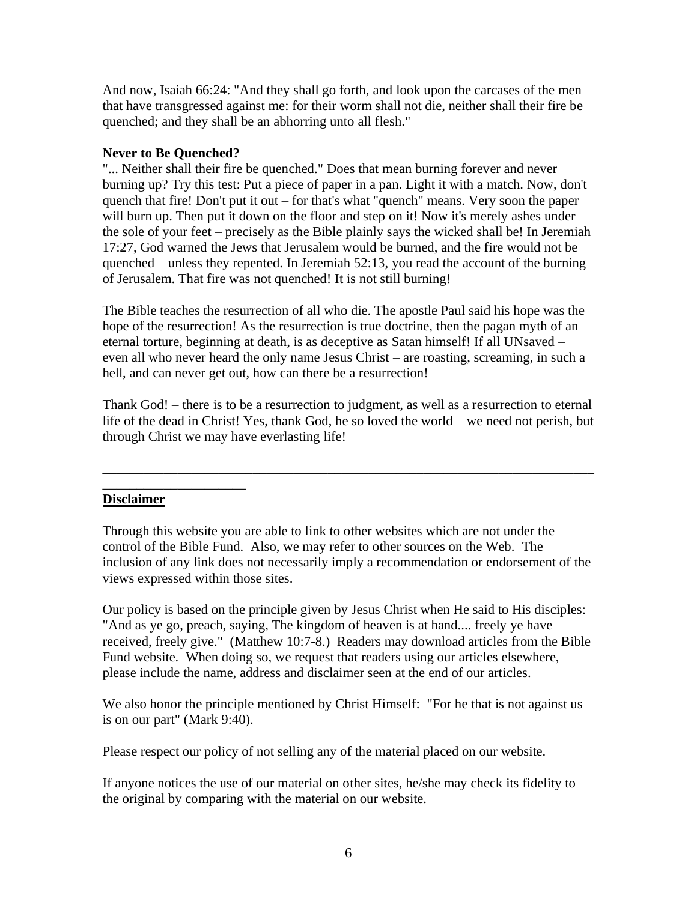And now, Isaiah 66:24: "And they shall go forth, and look upon the carcases of the men that have transgressed against me: for their worm shall not die, neither shall their fire be quenched; and they shall be an abhorring unto all flesh."

# **Never to Be Quenched?**

"... Neither shall their fire be quenched." Does that mean burning forever and never burning up? Try this test: Put a piece of paper in a pan. Light it with a match. Now, don't quench that fire! Don't put it out – for that's what "quench" means. Very soon the paper will burn up. Then put it down on the floor and step on it! Now it's merely ashes under the sole of your feet – precisely as the Bible plainly says the wicked shall be! In Jeremiah 17:27, God warned the Jews that Jerusalem would be burned, and the fire would not be quenched – unless they repented. In Jeremiah 52:13, you read the account of the burning of Jerusalem. That fire was not quenched! It is not still burning!

The Bible teaches the resurrection of all who die. The apostle Paul said his hope was the hope of the resurrection! As the resurrection is true doctrine, then the pagan myth of an eternal torture, beginning at death, is as deceptive as Satan himself! If all UNsaved – even all who never heard the only name Jesus Christ – are roasting, screaming, in such a hell, and can never get out, how can there be a resurrection!

Thank God! – there is to be a resurrection to judgment, as well as a resurrection to eternal life of the dead in Christ! Yes, thank God, he so loved the world – we need not perish, but through Christ we may have everlasting life!

\_\_\_\_\_\_\_\_\_\_\_\_\_\_\_\_\_\_\_\_\_\_\_\_\_\_\_\_\_\_\_\_\_\_\_\_\_\_\_\_\_\_\_\_\_\_\_\_\_\_\_\_\_\_\_\_\_\_\_\_\_\_\_\_\_\_\_\_\_\_\_\_

## **Disclaimer**

\_\_\_\_\_\_\_\_\_\_\_\_\_\_\_\_\_\_\_\_\_

Through this website you are able to link to other websites which are not under the control of the Bible Fund. Also, we may refer to other sources on the Web. The inclusion of any link does not necessarily imply a recommendation or endorsement of the views expressed within those sites.

Our policy is based on the principle given by Jesus Christ when He said to His disciples: "And as ye go, preach, saying, The kingdom of heaven is at hand.... freely ye have received, freely give." (Matthew 10:7-8.) Readers may download articles from the Bible Fund website. When doing so, we request that readers using our articles elsewhere, please include the name, address and disclaimer seen at the end of our articles.

We also honor the principle mentioned by Christ Himself: "For he that is not against us is on our part" (Mark 9:40).

Please respect our policy of not selling any of the material placed on our website.

If anyone notices the use of our material on other sites, he/she may check its fidelity to the original by comparing with the material on our website.